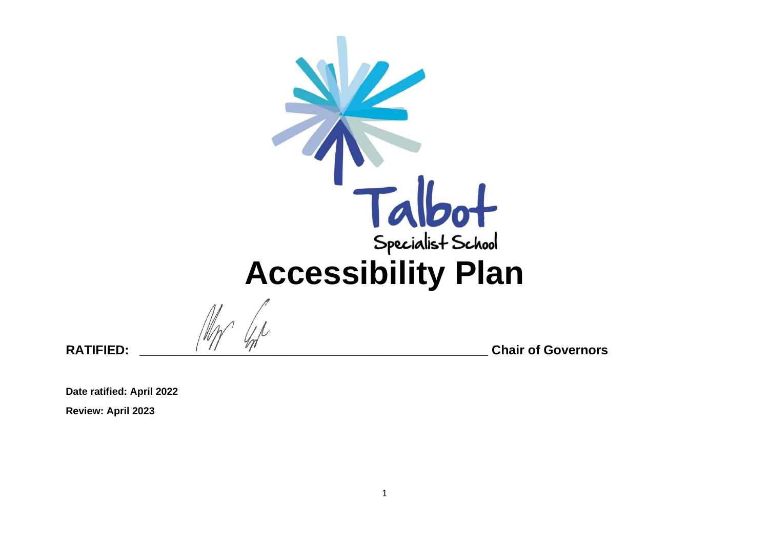

**RATIFIED: \_\_\_\_\_\_\_\_\_\_\_\_\_\_\_\_\_\_\_\_\_\_\_\_\_\_\_\_\_\_\_\_\_\_\_\_\_\_\_\_\_\_\_\_\_\_\_\_\_ Chair of Governors** 

**Date ratified: April 2022 Review: April 2023**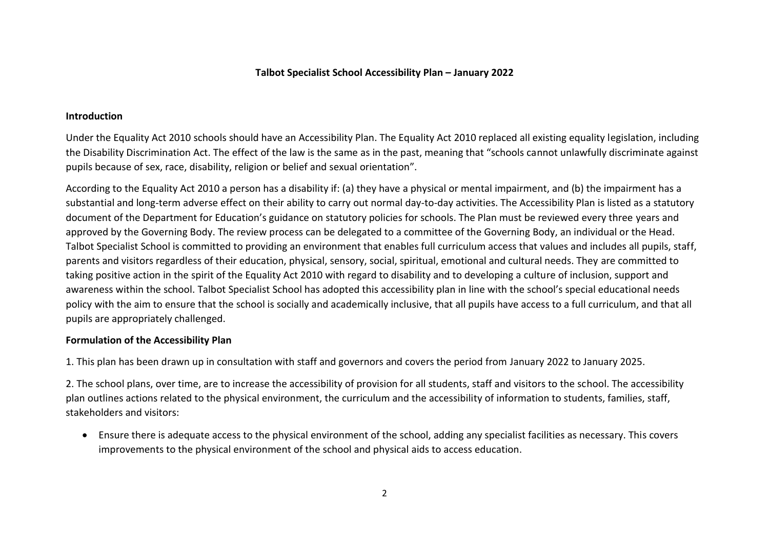## **Talbot Specialist School Accessibility Plan – January 2022**

## **Introduction**

Under the Equality Act 2010 schools should have an Accessibility Plan. The Equality Act 2010 replaced all existing equality legislation, including the Disability Discrimination Act. The effect of the law is the same as in the past, meaning that "schools cannot unlawfully discriminate against pupils because of sex, race, disability, religion or belief and sexual orientation".

According to the Equality Act 2010 a person has a disability if: (a) they have a physical or mental impairment, and (b) the impairment has a substantial and long-term adverse effect on their ability to carry out normal day-to-day activities. The Accessibility Plan is listed as a statutory document of the Department for Education's guidance on statutory policies for schools. The Plan must be reviewed every three years and approved by the Governing Body. The review process can be delegated to a committee of the Governing Body, an individual or the Head. Talbot Specialist School is committed to providing an environment that enables full curriculum access that values and includes all pupils, staff, parents and visitors regardless of their education, physical, sensory, social, spiritual, emotional and cultural needs. They are committed to taking positive action in the spirit of the Equality Act 2010 with regard to disability and to developing a culture of inclusion, support and awareness within the school. Talbot Specialist School has adopted this accessibility plan in line with the school's special educational needs policy with the aim to ensure that the school is socially and academically inclusive, that all pupils have access to a full curriculum, and that all pupils are appropriately challenged.

## **Formulation of the Accessibility Plan**

1. This plan has been drawn up in consultation with staff and governors and covers the period from January 2022 to January 2025.

2. The school plans, over time, are to increase the accessibility of provision for all students, staff and visitors to the school. The accessibility plan outlines actions related to the physical environment, the curriculum and the accessibility of information to students, families, staff, stakeholders and visitors:

• Ensure there is adequate access to the physical environment of the school, adding any specialist facilities as necessary. This covers improvements to the physical environment of the school and physical aids to access education.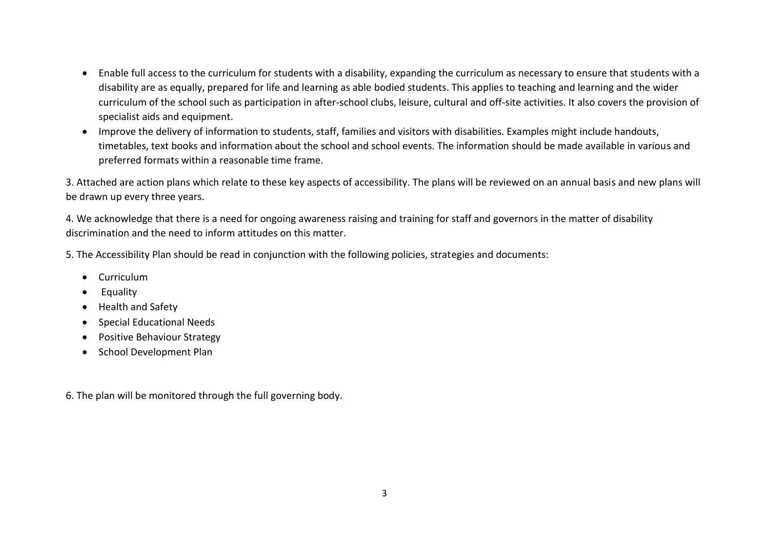- Enable full access to the curriculum for students with a disability, expanding the curriculum as necessary to ensure that students with a disability are as equally, prepared for life and learning as able bodied students. This applies to teaching and learning and the wider curriculum of the school such as participation in after-school clubs, leisure, cultural and off-site activities. It also covers the provision of specialist aids and equipment.
- Improve the delivery of information to students, staff, families and visitors with disabilities. Examples might include handouts, timetables, text books and information about the school and school events. The information should be made available in various and preferred formats within a reasonable time frame.

3. Attached are action plans which relate to these key aspects of accessibility. The plans will be reviewed on an annual basis and new plans will be drawn up every three years.

4. We acknowledge that there is a need for ongoing awareness raising and training for staff and governors in the matter of disability discrimination and the need to inform attitudes on this matter.

5. The Accessibility Plan should be read in conjunction with the following policies, strategies and documents:

- Curriculum
- Equality
- Health and Safety
- Special Educational Needs
- Positive Behaviour Strategy
- School Development Plan

6. The plan will be monitored through the full governing body.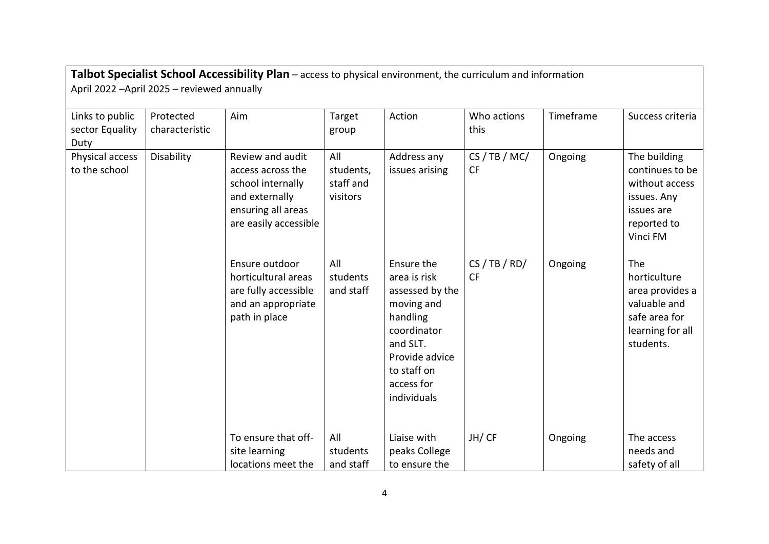| Talbot Specialist School Accessibility Plan - access to physical environment, the curriculum and information<br>April 2022 - April 2025 - reviewed annually |                             |                                                                                                                             |                                           |                                                                                                                                                                  |                             |           |                                                                                                           |  |
|-------------------------------------------------------------------------------------------------------------------------------------------------------------|-----------------------------|-----------------------------------------------------------------------------------------------------------------------------|-------------------------------------------|------------------------------------------------------------------------------------------------------------------------------------------------------------------|-----------------------------|-----------|-----------------------------------------------------------------------------------------------------------|--|
| Links to public<br>sector Equality<br>Duty                                                                                                                  | Protected<br>characteristic | Aim                                                                                                                         | Target<br>group                           | Action                                                                                                                                                           | Who actions<br>this         | Timeframe | Success criteria                                                                                          |  |
| Physical access<br>to the school                                                                                                                            | Disability                  | Review and audit<br>access across the<br>school internally<br>and externally<br>ensuring all areas<br>are easily accessible | All<br>students,<br>staff and<br>visitors | Address any<br>issues arising                                                                                                                                    | CS / TB / MC/<br><b>CF</b>  | Ongoing   | The building<br>continues to be<br>without access<br>issues. Any<br>issues are<br>reported to<br>Vinci FM |  |
|                                                                                                                                                             |                             | Ensure outdoor<br>horticultural areas<br>are fully accessible<br>and an appropriate<br>path in place                        | All<br>students<br>and staff              | Ensure the<br>area is risk<br>assessed by the<br>moving and<br>handling<br>coordinator<br>and SLT.<br>Provide advice<br>to staff on<br>access for<br>individuals | CS / TB / RD /<br><b>CF</b> | Ongoing   | The<br>horticulture<br>area provides a<br>valuable and<br>safe area for<br>learning for all<br>students.  |  |
|                                                                                                                                                             |                             | To ensure that off-<br>site learning<br>locations meet the                                                                  | All<br>students<br>and staff              | Liaise with<br>peaks College<br>to ensure the                                                                                                                    | JH/CF                       | Ongoing   | The access<br>needs and<br>safety of all                                                                  |  |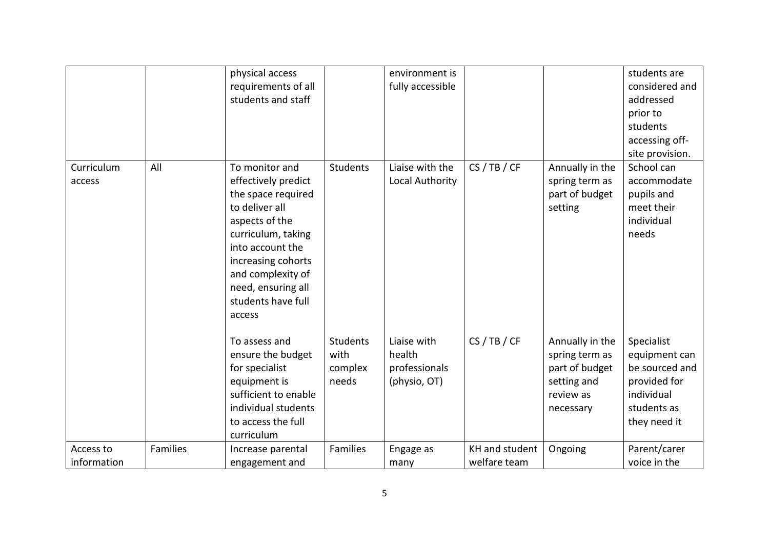|                          |                 | physical access<br>requirements of all<br>students and staff                                                                                                                                                                               |                                             | environment is<br>fully accessible                     |                                |                                                                                              | students are<br>considered and<br>addressed<br>prior to<br>students<br>accessing off-<br>site provision.   |
|--------------------------|-----------------|--------------------------------------------------------------------------------------------------------------------------------------------------------------------------------------------------------------------------------------------|---------------------------------------------|--------------------------------------------------------|--------------------------------|----------------------------------------------------------------------------------------------|------------------------------------------------------------------------------------------------------------|
| Curriculum<br>access     | All             | To monitor and<br>effectively predict<br>the space required<br>to deliver all<br>aspects of the<br>curriculum, taking<br>into account the<br>increasing cohorts<br>and complexity of<br>need, ensuring all<br>students have full<br>access | <b>Students</b>                             | Liaise with the<br>Local Authority                     | CS / TB / CF                   | Annually in the<br>spring term as<br>part of budget<br>setting                               | School can<br>accommodate<br>pupils and<br>meet their<br>individual<br>needs                               |
|                          |                 | To assess and<br>ensure the budget<br>for specialist<br>equipment is<br>sufficient to enable<br>individual students<br>to access the full<br>curriculum                                                                                    | <b>Students</b><br>with<br>complex<br>needs | Liaise with<br>health<br>professionals<br>(physio, OT) | CS / TB / CF                   | Annually in the<br>spring term as<br>part of budget<br>setting and<br>review as<br>necessary | Specialist<br>equipment can<br>be sourced and<br>provided for<br>individual<br>students as<br>they need it |
| Access to<br>information | <b>Families</b> | Increase parental<br>engagement and                                                                                                                                                                                                        | Families                                    | Engage as<br>many                                      | KH and student<br>welfare team | Ongoing                                                                                      | Parent/carer<br>voice in the                                                                               |